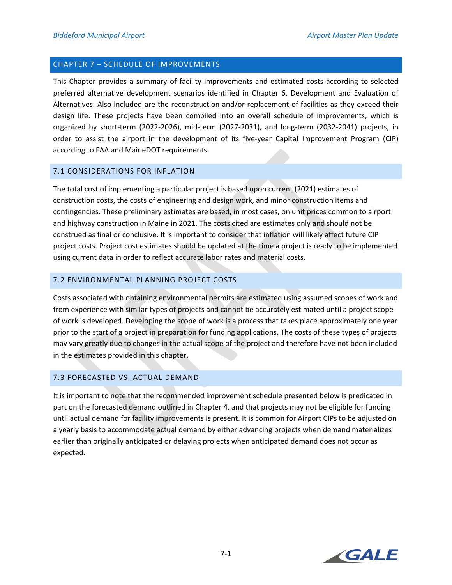### CHAPTER 7 – SCHEDULE OF IMPROVEMENTS

This Chapter provides a summary of facility improvements and estimated costs according to selected preferred alternative development scenarios identified in Chapter 6, Development and Evaluation of Alternatives. Also included are the reconstruction and/or replacement of facilities as they exceed their design life. These projects have been compiled into an overall schedule of improvements, which is organized by short‐term (2022‐2026), mid‐term (2027‐2031), and long‐term (2032‐2041) projects, in order to assist the airport in the development of its five-year Capital Improvement Program (CIP) according to FAA and MaineDOT requirements.

#### 7.1 CONSIDERATIONS FOR INFLATION

The total cost of implementing a particular project is based upon current (2021) estimates of construction costs, the costs of engineering and design work, and minor construction items and contingencies. These preliminary estimates are based, in most cases, on unit prices common to airport and highway construction in Maine in 2021. The costs cited are estimates only and should not be construed as final or conclusive. It is important to consider that inflation will likely affect future CIP project costs. Project cost estimates should be updated at the time a project is ready to be implemented using current data in order to reflect accurate labor rates and material costs.

# 7.2 ENVIRONMENTAL PLANNING PROJECT COSTS

Costs associated with obtaining environmental permits are estimated using assumed scopes of work and from experience with similar types of projects and cannot be accurately estimated until a project scope of work is developed. Developing the scope of work is a process that takes place approximately one year prior to the start of a project in preparation for funding applications. The costs of these types of projects may vary greatly due to changes in the actual scope of the project and therefore have not been included in the estimates provided in this chapter.

# 7.3 FORECASTED VS. ACTUAL DEMAND

It is important to note that the recommended improvement schedule presented below is predicated in part on the forecasted demand outlined in Chapter 4, and that projects may not be eligible for funding until actual demand for facility improvements is present. It is common for Airport CIPs to be adjusted on a yearly basis to accommodate actual demand by either advancing projects when demand materializes earlier than originally anticipated or delaying projects when anticipated demand does not occur as expected.

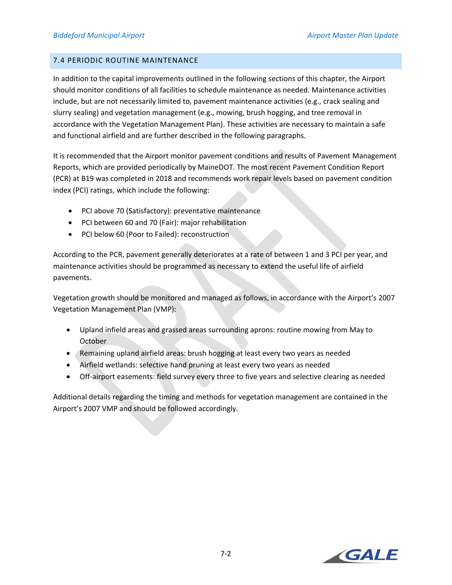# 7.4 PERIODIC ROUTINE MAINTENANCE

In addition to the capital improvements outlined in the following sections of this chapter, the Airport should monitor conditions of all facilities to schedule maintenance as needed. Maintenance activities include, but are not necessarily limited to, pavement maintenance activities (e.g., crack sealing and slurry sealing) and vegetation management (e.g., mowing, brush hogging, and tree removal in accordance with the Vegetation Management Plan). These activities are necessary to maintain a safe and functional airfield and are further described in the following paragraphs.

It is recommended that the Airport monitor pavement conditions and results of Pavement Management Reports, which are provided periodically by MaineDOT. The most recent Pavement Condition Report (PCR) at B19 was completed in 2018 and recommends work repair levels based on pavement condition index (PCI) ratings, which include the following:

- PCI above 70 (Satisfactory): preventative maintenance
- PCI between 60 and 70 (Fair): major rehabilitation
- PCI below 60 (Poor to Failed): reconstruction

According to the PCR, pavement generally deteriorates at a rate of between 1 and 3 PCI per year, and maintenance activities should be programmed as necessary to extend the useful life of airfield pavements.

Vegetation growth should be monitored and managed as follows, in accordance with the Airport's 2007 Vegetation Management Plan (VMP):

- Upland infield areas and grassed areas surrounding aprons: routine mowing from May to **October**
- Remaining upland airfield areas: brush hogging at least every two years as needed
- Airfield wetlands: selective hand pruning at least every two years as needed
- Off-airport easements: field survey every three to five years and selective clearing as needed

Additional details regarding the timing and methods for vegetation management are contained in the Airport's 2007 VMP and should be followed accordingly.

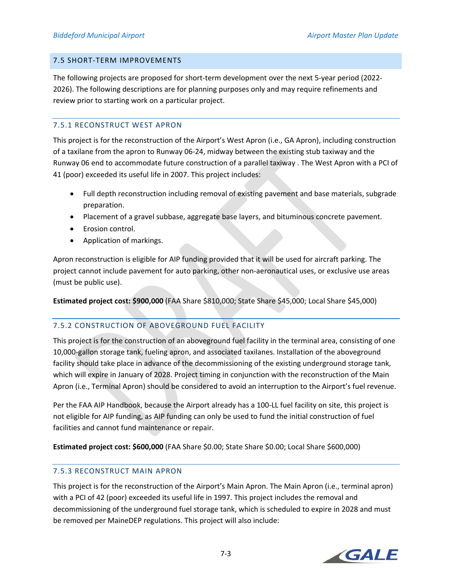#### 7.5 SHORT‐TERM IMPROVEMENTS

The following projects are proposed for short-term development over the next 5-year period (2022-2026). The following descriptions are for planning purposes only and may require refinements and review prior to starting work on a particular project.

# 7.5.1 RECONSTRUCT WEST APRON

This project is for the reconstruction of the Airport's West Apron (i.e., GA Apron), including construction of a taxilane from the apron to Runway 06‐24, midway between the existing stub taxiway and the Runway 06 end to accommodate future construction of a parallel taxiway . The West Apron with a PCI of 41 (poor) exceeded its useful life in 2007. This project includes:

- Full depth reconstruction including removal of existing pavement and base materials, subgrade preparation.
- Placement of a gravel subbase, aggregate base layers, and bituminous concrete pavement.
- Erosion control.
- Application of markings.

Apron reconstruction is eligible for AIP funding provided that it will be used for aircraft parking. The project cannot include pavement for auto parking, other non‐aeronautical uses, or exclusive use areas (must be public use).

**Estimated project cost: \$900,000** (FAA Share \$810,000; State Share \$45,000; Local Share \$45,000)

# 7.5.2 CONSTRUCTION OF ABOVEGROUND FUEL FACILITY

This project is for the construction of an aboveground fuel facility in the terminal area, consisting of one 10,000‐gallon storage tank, fueling apron, and associated taxilanes. Installation of the aboveground facility should take place in advance of the decommissioning of the existing underground storage tank, which will expire in January of 2028. Project timing in conjunction with the reconstruction of the Main Apron (i.e., Terminal Apron) should be considered to avoid an interruption to the Airport's fuel revenue.

Per the FAA AIP Handbook, because the Airport already has a 100‐LL fuel facility on site, this project is not eligible for AIP funding, as AIP funding can only be used to fund the initial construction of fuel facilities and cannot fund maintenance or repair.

**Estimated project cost: \$600,000** (FAA Share \$0.00; State Share \$0.00; Local Share \$600,000)

# 7.5.3 RECONSTRUCT MAIN APRON

This project is for the reconstruction of the Airport's Main Apron. The Main Apron (i.e., terminal apron) with a PCI of 42 (poor) exceeded its useful life in 1997. This project includes the removal and decommissioning of the underground fuel storage tank, which is scheduled to expire in 2028 and must be removed per MaineDEP regulations. This project will also include:

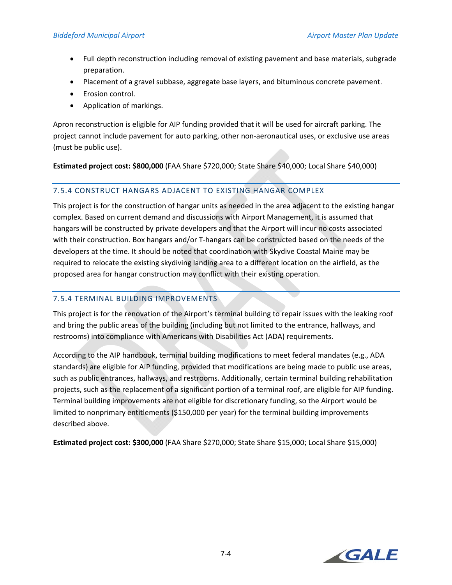- Full depth reconstruction including removal of existing pavement and base materials, subgrade preparation.
- Placement of a gravel subbase, aggregate base layers, and bituminous concrete pavement.
- Erosion control.
- Application of markings.

Apron reconstruction is eligible for AIP funding provided that it will be used for aircraft parking. The project cannot include pavement for auto parking, other non‐aeronautical uses, or exclusive use areas (must be public use).

**Estimated project cost: \$800,000** (FAA Share \$720,000; State Share \$40,000; Local Share \$40,000)

# 7.5.4 CONSTRUCT HANGARS ADJACENT TO EXISTING HANGAR COMPLEX

This project is for the construction of hangar units as needed in the area adjacent to the existing hangar complex. Based on current demand and discussions with Airport Management, it is assumed that hangars will be constructed by private developers and that the Airport will incur no costs associated with their construction. Box hangars and/or T-hangars can be constructed based on the needs of the developers at the time. It should be noted that coordination with Skydive Coastal Maine may be required to relocate the existing skydiving landing area to a different location on the airfield, as the proposed area for hangar construction may conflict with their existing operation.

# 7.5.4 TERMINAL BUILDING IMPROVEMENTS

This project is for the renovation of the Airport's terminal building to repair issues with the leaking roof and bring the public areas of the building (including but not limited to the entrance, hallways, and restrooms) into compliance with Americans with Disabilities Act (ADA) requirements.

According to the AIP handbook, terminal building modifications to meet federal mandates (e.g., ADA standards) are eligible for AIP funding, provided that modifications are being made to public use areas, such as public entrances, hallways, and restrooms. Additionally, certain terminal building rehabilitation projects, such as the replacement of a significant portion of a terminal roof, are eligible for AIP funding. Terminal building improvements are not eligible for discretionary funding, so the Airport would be limited to nonprimary entitlements (\$150,000 per year) for the terminal building improvements described above.

**Estimated project cost: \$300,000** (FAA Share \$270,000; State Share \$15,000; Local Share \$15,000)

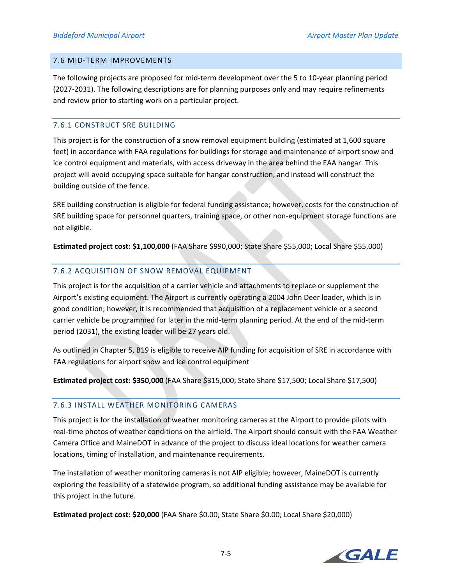#### 7.6 MID‐TERM IMPROVEMENTS

The following projects are proposed for mid-term development over the 5 to 10-year planning period (2027‐2031). The following descriptions are for planning purposes only and may require refinements and review prior to starting work on a particular project.

# 7.6.1 CONSTRUCT SRE BUILDING

This project is for the construction of a snow removal equipment building (estimated at 1,600 square feet) in accordance with FAA regulations for buildings for storage and maintenance of airport snow and ice control equipment and materials, with access driveway in the area behind the EAA hangar. This project will avoid occupying space suitable for hangar construction, and instead will construct the building outside of the fence.

SRE building construction is eligible for federal funding assistance; however, costs for the construction of SRE building space for personnel quarters, training space, or other non‐equipment storage functions are not eligible.

**Estimated project cost: \$1,100,000** (FAA Share \$990,000; State Share \$55,000; Local Share \$55,000)

# 7.6.2 ACQUISITION OF SNOW REMOVAL EQUIPMENT

This project is for the acquisition of a carrier vehicle and attachments to replace or supplement the Airport's existing equipment. The Airport is currently operating a 2004 John Deer loader, which is in good condition; however, it is recommended that acquisition of a replacement vehicle or a second carrier vehicle be programmed for later in the mid‐term planning period. At the end of the mid‐term period (2031), the existing loader will be 27 years old.

As outlined in Chapter 5, B19 is eligible to receive AIP funding for acquisition of SRE in accordance with FAA regulations for airport snow and ice control equipment

**Estimated project cost: \$350,000** (FAA Share \$315,000; State Share \$17,500; Local Share \$17,500)

# 7.6.3 INSTALL WEATHER MONITORING CAMERAS

This project is for the installation of weather monitoring cameras at the Airport to provide pilots with real‐time photos of weather conditions on the airfield. The Airport should consult with the FAA Weather Camera Office and MaineDOT in advance of the project to discuss ideal locations for weather camera locations, timing of installation, and maintenance requirements.

The installation of weather monitoring cameras is not AIP eligible; however, MaineDOT is currently exploring the feasibility of a statewide program, so additional funding assistance may be available for this project in the future.

**Estimated project cost: \$20,000** (FAA Share \$0.00; State Share \$0.00; Local Share \$20,000)

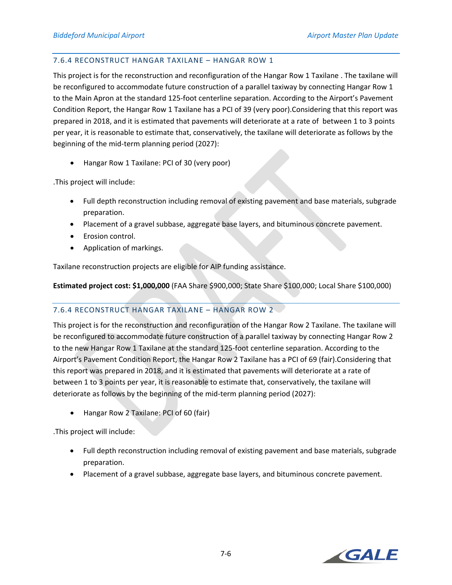### 7.6.4 RECONSTRUCT HANGAR TAXILANE – HANGAR ROW 1

This project is for the reconstruction and reconfiguration of the Hangar Row 1 Taxilane . The taxilane will be reconfigured to accommodate future construction of a parallel taxiway by connecting Hangar Row 1 to the Main Apron at the standard 125-foot centerline separation. According to the Airport's Pavement Condition Report, the Hangar Row 1 Taxilane has a PCI of 39 (very poor).Considering that this report was prepared in 2018, and it is estimated that pavements will deteriorate at a rate of between 1 to 3 points per year, it is reasonable to estimate that, conservatively, the taxilane will deteriorate as follows by the beginning of the mid‐term planning period (2027):

Hangar Row 1 Taxilane: PCI of 30 (very poor)

.This project will include:

- Full depth reconstruction including removal of existing pavement and base materials, subgrade preparation.
- Placement of a gravel subbase, aggregate base layers, and bituminous concrete pavement.
- Erosion control.
- Application of markings.

Taxilane reconstruction projects are eligible for AIP funding assistance.

**Estimated project cost: \$1,000,000** (FAA Share \$900,000; State Share \$100,000; Local Share \$100,000)

# 7.6.4 RECONSTRUCT HANGAR TAXILANE – HANGAR ROW 2

This project is for the reconstruction and reconfiguration of the Hangar Row 2 Taxilane. The taxilane will be reconfigured to accommodate future construction of a parallel taxiway by connecting Hangar Row 2 to the new Hangar Row 1 Taxilane at the standard 125‐foot centerline separation. According to the Airport's Pavement Condition Report, the Hangar Row 2 Taxilane has a PCI of 69 (fair).Considering that this report was prepared in 2018, and it is estimated that pavements will deteriorate at a rate of between 1 to 3 points per year, it is reasonable to estimate that, conservatively, the taxilane will deteriorate as follows by the beginning of the mid-term planning period (2027):

Hangar Row 2 Taxilane: PCI of 60 (fair)

.This project will include:

- Full depth reconstruction including removal of existing pavement and base materials, subgrade preparation.
- Placement of a gravel subbase, aggregate base layers, and bituminous concrete pavement.

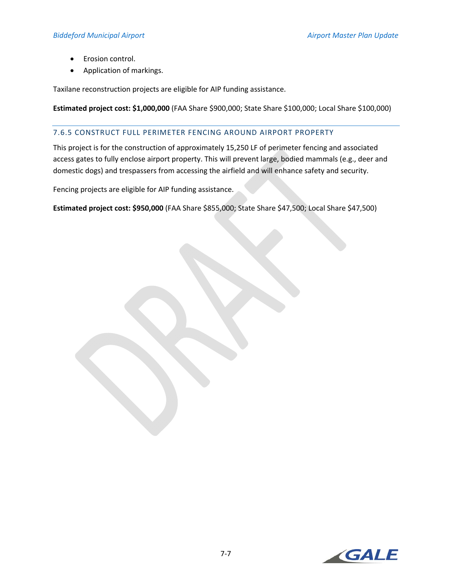- Erosion control.
- Application of markings.

Taxilane reconstruction projects are eligible for AIP funding assistance.

**Estimated project cost: \$1,000,000** (FAA Share \$900,000; State Share \$100,000; Local Share \$100,000)

#### 7.6.5 CONSTRUCT FULL PERIMETER FENCING AROUND AIRPORT PROPERTY

This project is for the construction of approximately 15,250 LF of perimeter fencing and associated access gates to fully enclose airport property. This will prevent large, bodied mammals (e.g., deer and domestic dogs) and trespassers from accessing the airfield and will enhance safety and security.

Fencing projects are eligible for AIP funding assistance.

**Estimated project cost: \$950,000** (FAA Share \$855,000; State Share \$47,500; Local Share \$47,500)

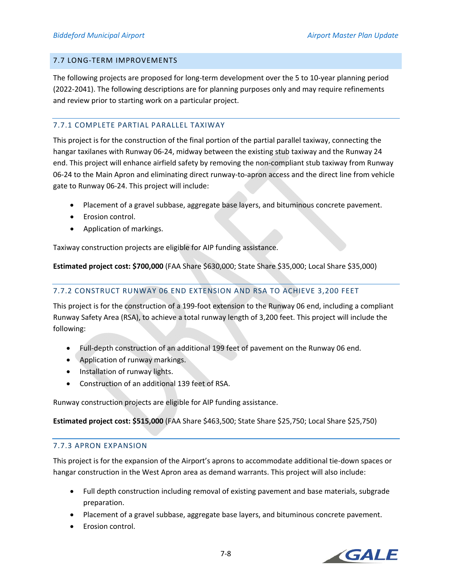#### 7.7 LONG‐TERM IMPROVEMENTS

The following projects are proposed for long-term development over the 5 to 10-year planning period (2022‐2041). The following descriptions are for planning purposes only and may require refinements and review prior to starting work on a particular project.

### 7.7.1 COMPLETE PARTIAL PARALLEL TAXIWAY

This project is for the construction of the final portion of the partial parallel taxiway, connecting the hangar taxilanes with Runway 06‐24, midway between the existing stub taxiway and the Runway 24 end. This project will enhance airfield safety by removing the non-compliant stub taxiway from Runway 06-24 to the Main Apron and eliminating direct runway-to-apron access and the direct line from vehicle gate to Runway 06‐24. This project will include:

- Placement of a gravel subbase, aggregate base layers, and bituminous concrete pavement.
- Erosion control.
- Application of markings.

Taxiway construction projects are eligible for AIP funding assistance.

**Estimated project cost: \$700,000** (FAA Share \$630,000; State Share \$35,000; Local Share \$35,000)

# 7.7.2 CONSTRUCT RUNWAY 06 END EXTENSION AND RSA TO ACHIEVE 3,200 FEET

This project is for the construction of a 199‐foot extension to the Runway 06 end, including a compliant Runway Safety Area (RSA), to achieve a total runway length of 3,200 feet. This project will include the following:

- Full-depth construction of an additional 199 feet of pavement on the Runway 06 end.
- Application of runway markings.
- Installation of runway lights.
- Construction of an additional 139 feet of RSA.

Runway construction projects are eligible for AIP funding assistance.

**Estimated project cost: \$515,000** (FAA Share \$463,500; State Share \$25,750; Local Share \$25,750)

#### 7.7.3 APRON EXPANSION

This project is for the expansion of the Airport's aprons to accommodate additional tie‐down spaces or hangar construction in the West Apron area as demand warrants. This project will also include:

- Full depth construction including removal of existing pavement and base materials, subgrade preparation.
- Placement of a gravel subbase, aggregate base layers, and bituminous concrete pavement.
- Erosion control.